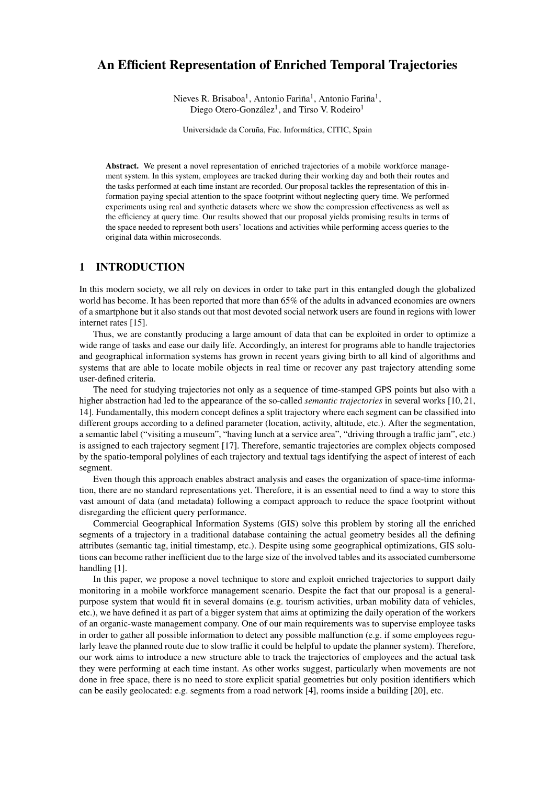# An Efficient Representation of Enriched Temporal Trajectories

Nieves R. Brisaboa<sup>1</sup>, Antonio Fariña<sup>1</sup>, Antonio Fariña<sup>1</sup>, Diego Otero-González<sup>1</sup>, and Tirso V. Rodeiro<sup>1</sup>

Universidade da Coruña, Fac. Informática, CITIC, Spain

Abstract. We present a novel representation of enriched trajectories of a mobile workforce management system. In this system, employees are tracked during their working day and both their routes and the tasks performed at each time instant are recorded. Our proposal tackles the representation of this information paying special attention to the space footprint without neglecting query time. We performed experiments using real and synthetic datasets where we show the compression effectiveness as well as the efficiency at query time. Our results showed that our proposal yields promising results in terms of the space needed to represent both users' locations and activities while performing access queries to the original data within microseconds.

### 1 INTRODUCTION

In this modern society, we all rely on devices in order to take part in this entangled dough the globalized world has become. It has been reported that more than 65% of the adults in advanced economies are owners of a smartphone but it also stands out that most devoted social network users are found in regions with lower internet rates [15].

Thus, we are constantly producing a large amount of data that can be exploited in order to optimize a wide range of tasks and ease our daily life. Accordingly, an interest for programs able to handle trajectories and geographical information systems has grown in recent years giving birth to all kind of algorithms and systems that are able to locate mobile objects in real time or recover any past trajectory attending some user-defined criteria.

The need for studying trajectories not only as a sequence of time-stamped GPS points but also with a higher abstraction had led to the appearance of the so-called *semantic trajectories* in several works [10, 21, 14]. Fundamentally, this modern concept defines a split trajectory where each segment can be classified into different groups according to a defined parameter (location, activity, altitude, etc.). After the segmentation, a semantic label ("visiting a museum", "having lunch at a service area", "driving through a traffic jam", etc.) is assigned to each trajectory segment [17]. Therefore, semantic trajectories are complex objects composed by the spatio-temporal polylines of each trajectory and textual tags identifying the aspect of interest of each segment.

Even though this approach enables abstract analysis and eases the organization of space-time information, there are no standard representations yet. Therefore, it is an essential need to find a way to store this vast amount of data (and metadata) following a compact approach to reduce the space footprint without disregarding the efficient query performance.

Commercial Geographical Information Systems (GIS) solve this problem by storing all the enriched segments of a trajectory in a traditional database containing the actual geometry besides all the defining attributes (semantic tag, initial timestamp, etc.). Despite using some geographical optimizations, GIS solutions can become rather inefficient due to the large size of the involved tables and its associated cumbersome handling [1].

In this paper, we propose a novel technique to store and exploit enriched trajectories to support daily monitoring in a mobile workforce management scenario. Despite the fact that our proposal is a generalpurpose system that would fit in several domains (e.g. tourism activities, urban mobility data of vehicles, etc.), we have defined it as part of a bigger system that aims at optimizing the daily operation of the workers of an organic-waste management company. One of our main requirements was to supervise employee tasks in order to gather all possible information to detect any possible malfunction (e.g. if some employees regularly leave the planned route due to slow traffic it could be helpful to update the planner system). Therefore, our work aims to introduce a new structure able to track the trajectories of employees and the actual task they were performing at each time instant. As other works suggest, particularly when movements are not done in free space, there is no need to store explicit spatial geometries but only position identifiers which can be easily geolocated: e.g. segments from a road network [4], rooms inside a building [20], etc.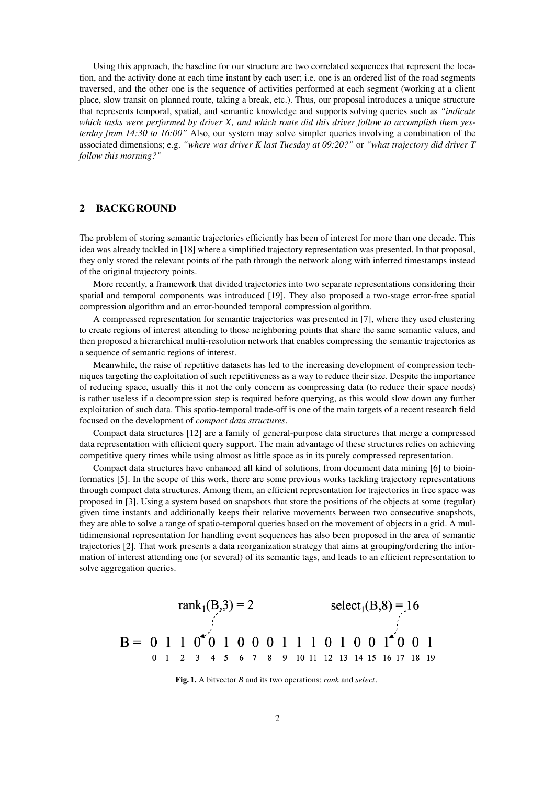Using this approach, the baseline for our structure are two correlated sequences that represent the location, and the activity done at each time instant by each user; i.e. one is an ordered list of the road segments traversed, and the other one is the sequence of activities performed at each segment (working at a client place, slow transit on planned route, taking a break, etc.). Thus, our proposal introduces a unique structure that represents temporal, spatial, and semantic knowledge and supports solving queries such as *"indicate which tasks were performed by driver X, and which route did this driver follow to accomplish them yesterday from 14:30 to 16:00"* Also, our system may solve simpler queries involving a combination of the associated dimensions; e.g. *"where was driver K last Tuesday at 09:20?"* or *"what trajectory did driver T follow this morning?"*

# 2 BACKGROUND

The problem of storing semantic trajectories efficiently has been of interest for more than one decade. This idea was already tackled in [18] where a simplified trajectory representation was presented. In that proposal, they only stored the relevant points of the path through the network along with inferred timestamps instead of the original trajectory points.

More recently, a framework that divided trajectories into two separate representations considering their spatial and temporal components was introduced [19]. They also proposed a two-stage error-free spatial compression algorithm and an error-bounded temporal compression algorithm.

A compressed representation for semantic trajectories was presented in [7], where they used clustering to create regions of interest attending to those neighboring points that share the same semantic values, and then proposed a hierarchical multi-resolution network that enables compressing the semantic trajectories as a sequence of semantic regions of interest.

Meanwhile, the raise of repetitive datasets has led to the increasing development of compression techniques targeting the exploitation of such repetitiveness as a way to reduce their size. Despite the importance of reducing space, usually this it not the only concern as compressing data (to reduce their space needs) is rather useless if a decompression step is required before querying, as this would slow down any further exploitation of such data. This spatio-temporal trade-off is one of the main targets of a recent research field focused on the development of *compact data structures*.

Compact data structures [12] are a family of general-purpose data structures that merge a compressed data representation with efficient query support. The main advantage of these structures relies on achieving competitive query times while using almost as little space as in its purely compressed representation.

Compact data structures have enhanced all kind of solutions, from document data mining [6] to bioinformatics [5]. In the scope of this work, there are some previous works tackling trajectory representations through compact data structures. Among them, an efficient representation for trajectories in free space was proposed in [3]. Using a system based on snapshots that store the positions of the objects at some (regular) given time instants and additionally keeps their relative movements between two consecutive snapshots, they are able to solve a range of spatio-temporal queries based on the movement of objects in a grid. A multidimensional representation for handling event sequences has also been proposed in the area of semantic trajectories [2]. That work presents a data reorganization strategy that aims at grouping/ordering the information of interest attending one (or several) of its semantic tags, and leads to an efficient representation to solve aggregation queries.

$$
\text{rank}_{1}(B,3) = 2 \qquad \text{select}_{1}(B,8) = 16
$$
  
\n
$$
B = \begin{array}{ccccccc}\n0 & 1 & 1 & 0 & 0 & 0 & 0 & 1 & 1 & 1 & 0 & 1 & 0 & 0 & 1 & 1 & 0 & 0 & 0 & 1 \\
0 & 1 & 2 & 3 & 4 & 5 & 6 & 7 & 8 & 9 & 10 & 11 & 12 & 13 & 14 & 15 & 16 & 17 & 18 & 19 & 18 & 19\n\end{array}
$$

Fig. 1. A bitvector *B* and its two operations: *rank* and *select*.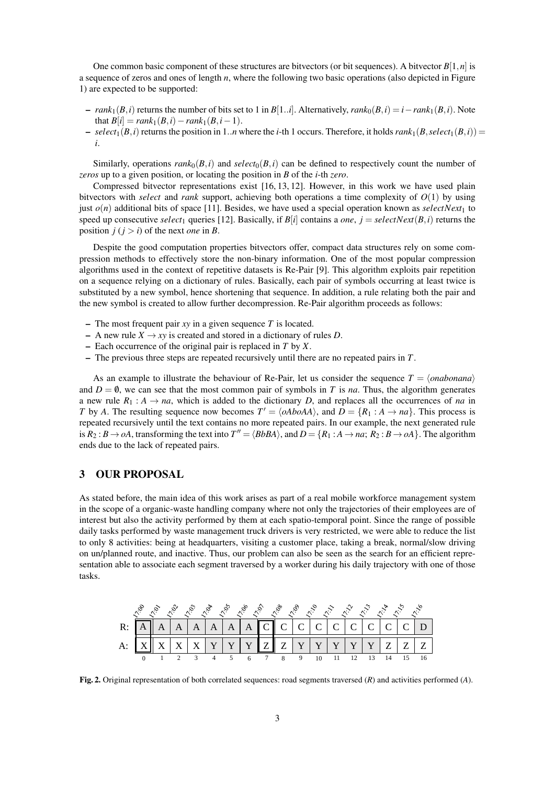One common basic component of these structures are bitvectors (or bit sequences). A bitvector  $B[1,n]$  is a sequence of zeros and ones of length *n*, where the following two basic operations (also depicted in Figure 1) are expected to be supported:

- $-$  *rank*<sub>1</sub>( $B$ ,*i*) returns the number of bits set to 1 in  $B[1..i]$ . Alternatively,  $rank_0(B,i) = i rank_1(B,i)$ . Note  ${\rm that} \ B[i] = rank_1(B,i) - rank_1(B,i-1).$
- $-$  *select*<sub>1</sub>(*B*,*i*) returns the position in 1..*n* where the *i*-th 1 occurs. Therefore, it holds  $rank_1(B, select_1(B, i)) =$ *i*.

Similarly, operations  $rank_0(B, i)$  and  $select_0(B, i)$  can be defined to respectively count the number of *zeros* up to a given position, or locating the position in *B* of the *i*-th *zero*.

Compressed bitvector representations exist [16, 13, 12]. However, in this work we have used plain bitvectors with *select* and *rank* support, achieving both operations a time complexity of *O*(1) by using just  $o(n)$  additional bits of space [11]. Besides, we have used a special operation known as *selectNext*<sub>1</sub> to speed up consecutive *select*<sub>1</sub> queries [12]. Basically, if  $B[i]$  contains a *one*,  $j = selectNext(B, i)$  returns the position  $j(i > i)$  of the next *one* in *B*.

Despite the good computation properties bitvectors offer, compact data structures rely on some compression methods to effectively store the non-binary information. One of the most popular compression algorithms used in the context of repetitive datasets is Re-Pair [9]. This algorithm exploits pair repetition on a sequence relying on a dictionary of rules. Basically, each pair of symbols occurring at least twice is substituted by a new symbol, hence shortening that sequence. In addition, a rule relating both the pair and the new symbol is created to allow further decompression. Re-Pair algorithm proceeds as follows:

- The most frequent pair *xy* in a given sequence *T* is located.
- $-$  A new rule *X*  $\rightarrow$  *xy* is created and stored in a dictionary of rules *D*.
- Each occurrence of the original pair is replaced in *T* by *X*.
- The previous three steps are repeated recursively until there are no repeated pairs in *T*.

As an example to illustrate the behaviour of Re-Pair, let us consider the sequence  $T = \langle onabon \rangle$ and  $D = \emptyset$ , we can see that the most common pair of symbols in *T* is *na*. Thus, the algorithm generates a new rule  $R_1 : A \rightarrow na$ , which is added to the dictionary *D*, and replaces all the occurrences of *na* in *T* by *A*. The resulting sequence now becomes  $T' = \langle oAboAA \rangle$ , and  $D = \{R_1 : A \rightarrow na\}$ . This process is repeated recursively until the text contains no more repeated pairs. In our example, the next generated rule is  $R_2: B \to oA$ , transforming the text into  $T'' = \langle BbBA \rangle$ , and  $D = \{R_1: A \to na; R_2: B \to oA\}$ . The algorithm ends due to the lack of repeated pairs.

### 3 OUR PROPOSAL

As stated before, the main idea of this work arises as part of a real mobile workforce management system in the scope of a organic-waste handling company where not only the trajectories of their employees are of interest but also the activity performed by them at each spatio-temporal point. Since the range of possible daily tasks performed by waste management truck drivers is very restricted, we were able to reduce the list to only 8 activities: being at headquarters, visiting a customer place, taking a break, normal/slow driving on un/planned route, and inactive. Thus, our problem can also be seen as the search for an efficient representation able to associate each segment traversed by a worker during his daily trajectory with one of those tasks.

|  |                                                                                                                                                                                                                |  |  |  | <i>ં છું જ જ જ જ છું જ જ જ જ જ જ જ જ જ જ જ</i> |  |  |  |  |
|--|----------------------------------------------------------------------------------------------------------------------------------------------------------------------------------------------------------------|--|--|--|------------------------------------------------|--|--|--|--|
|  | R: $\boxed{A}$ $\boxed{A}$ $\boxed{A}$ $\boxed{A}$ $\boxed{A}$ $\boxed{A}$ $\boxed{C}$ $\boxed{C}$ $\boxed{C}$ $\boxed{C}$ $\boxed{C}$ $\boxed{C}$ $\boxed{C}$ $\boxed{C}$ $\boxed{C}$ $\boxed{C}$ $\boxed{D}$ |  |  |  |                                                |  |  |  |  |
|  | A: $\left  X \right  X \left  X \right  X \left  Y \right  Y \left  Y \right  Z \left  Z \right  Y \left  Y \right  Y \left  Y \right  Y \left  Z \right  Z \left  Z \right $                                  |  |  |  |                                                |  |  |  |  |
|  | 1 2 3 4 5 6 7 8 9 10                                                                                                                                                                                           |  |  |  |                                                |  |  |  |  |

Fig. 2. Original representation of both correlated sequences: road segments traversed (*R*) and activities performed (*A*).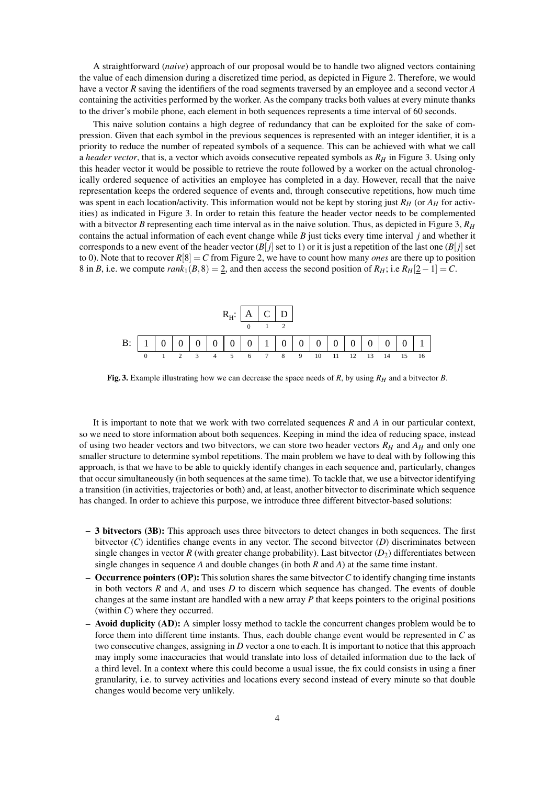A straightforward (*naive*) approach of our proposal would be to handle two aligned vectors containing the value of each dimension during a discretized time period, as depicted in Figure 2. Therefore, we would have a vector *R* saving the identifiers of the road segments traversed by an employee and a second vector *A* containing the activities performed by the worker. As the company tracks both values at every minute thanks to the driver's mobile phone, each element in both sequences represents a time interval of 60 seconds.

This naive solution contains a high degree of redundancy that can be exploited for the sake of compression. Given that each symbol in the previous sequences is represented with an integer identifier, it is a priority to reduce the number of repeated symbols of a sequence. This can be achieved with what we call a *header vector*, that is, a vector which avoids consecutive repeated symbols as *R<sup>H</sup>* in Figure 3. Using only this header vector it would be possible to retrieve the route followed by a worker on the actual chronologically ordered sequence of activities an employee has completed in a day. However, recall that the naive representation keeps the ordered sequence of events and, through consecutive repetitions, how much time was spent in each location/activity. This information would not be kept by storing just *R<sup>H</sup>* (or *A<sup>H</sup>* for activities) as indicated in Figure 3. In order to retain this feature the header vector needs to be complemented with a bitvector *B* representing each time interval as in the naive solution. Thus, as depicted in Figure 3,  $R_H$ contains the actual information of each event change while  $B$  just ticks every time interval  $j$  and whether it corresponds to a new event of the header vector  $(B[j])$  set to 1) or it is just a repetition of the last one  $(B[j])$  set to 0). Note that to recover  $R[8] = C$  from Figure 2, we have to count how many *ones* are there up to position 8 in *B*, i.e. we compute  $rank_1(B,8) = 2$ , and then access the second position of  $R_H$ ; i.e  $R_H[2-1] = C$ .



Fig. 3. Example illustrating how we can decrease the space needs of *R*, by using  $R_H$  and a bitvector *B*.

It is important to note that we work with two correlated sequences *R* and *A* in our particular context, so we need to store information about both sequences. Keeping in mind the idea of reducing space, instead of using two header vectors and two bitvectors, we can store two header vectors *R<sup>H</sup>* and *A<sup>H</sup>* and only one smaller structure to determine symbol repetitions. The main problem we have to deal with by following this approach, is that we have to be able to quickly identify changes in each sequence and, particularly, changes that occur simultaneously (in both sequences at the same time). To tackle that, we use a bitvector identifying a transition (in activities, trajectories or both) and, at least, another bitvector to discriminate which sequence has changed. In order to achieve this purpose, we introduce three different bitvector-based solutions:

- 3 bitvectors (3B): This approach uses three bitvectors to detect changes in both sequences. The first bitvector (*C*) identifies change events in any vector. The second bitvector (*D*) discriminates between single changes in vector  $R$  (with greater change probability). Last bitvector  $(D_2)$  differentiates between single changes in sequence *A* and double changes (in both *R* and *A*) at the same time instant.
- $\sim$  **Occurrence pointers (OP):** This solution shares the same bitvector C to identify changing time instants in both vectors *R* and *A*, and uses *D* to discern which sequence has changed. The events of double changes at the same instant are handled with a new array *P* that keeps pointers to the original positions (within *C*) where they occurred.
- Avoid duplicity (AD): A simpler lossy method to tackle the concurrent changes problem would be to force them into different time instants. Thus, each double change event would be represented in *C* as two consecutive changes, assigning in *D* vector a one to each. It is important to notice that this approach may imply some inaccuracies that would translate into loss of detailed information due to the lack of a third level. In a context where this could become a usual issue, the fix could consists in using a finer granularity, i.e. to survey activities and locations every second instead of every minute so that double changes would become very unlikely.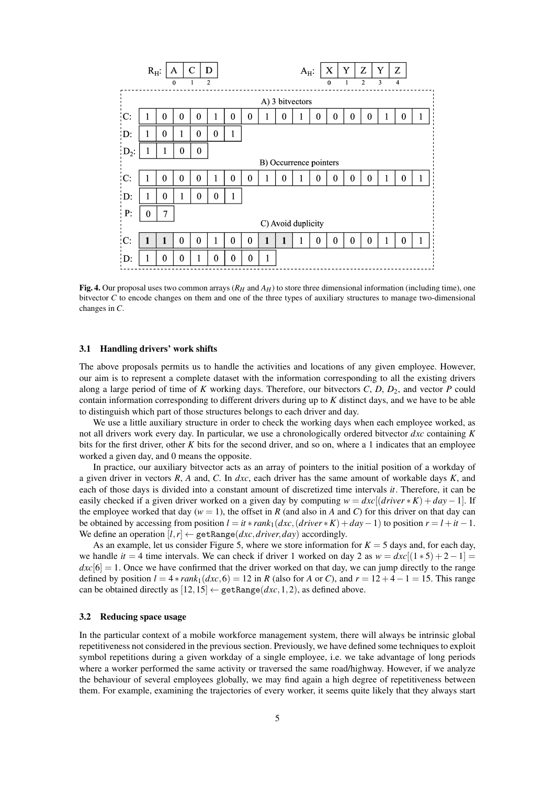

Fig. 4. Our proposal uses two common arrays ( $R_H$  and  $A_H$ ) to store three dimensional information (including time), one bitvector *C* to encode changes on them and one of the three types of auxiliary structures to manage two-dimensional changes in *C*.

#### 3.1 Handling drivers' work shifts

The above proposals permits us to handle the activities and locations of any given employee. However, our aim is to represent a complete dataset with the information corresponding to all the existing drivers along a large period of time of *K* working days. Therefore, our bitvectors *C*, *D*, *D*<sub>2</sub>, and vector *P* could contain information corresponding to different drivers during up to *K* distinct days, and we have to be able to distinguish which part of those structures belongs to each driver and day.

We use a little auxiliary structure in order to check the working days when each employee worked, as not all drivers work every day. In particular, we use a chronologically ordered bitvector *dxc* containing *K* bits for the first driver, other *K* bits for the second driver, and so on, where a 1 indicates that an employee worked a given day, and 0 means the opposite.

In practice, our auxiliary bitvector acts as an array of pointers to the initial position of a workday of a given driver in vectors *R*, *A* and, *C*. In *dxc*, each driver has the same amount of workable days *K*, and each of those days is divided into a constant amount of discretized time intervals *it*. Therefore, it can be easily checked if a given driver worked on a given day by computing  $w = dx$ [ $(driver * K) + day - 1$ ]. If the employee worked that day ( $w = 1$ ), the offset in *R* (and also in *A* and *C*) for this driver on that day can be obtained by accessing from position  $l = it * rank_1(dxc, (driver * K) + day - 1)$  to position  $r = l + it - 1$ . We define an operation  $[l, r] \leftarrow$  getRange(*dxc*, *driver*, *day*) accordingly.

As an example, let us consider Figure 5, where we store information for  $K = 5$  days and, for each day, we handle  $it = 4$  time intervals. We can check if driver 1 worked on day 2 as  $w = dxc[(1 * 5) + 2 - 1] =$  $dxc[6] = 1$ . Once we have confirmed that the driver worked on that day, we can jump directly to the range defined by position  $l = 4 * rank_1(dx, 6) = 12$  in *R* (also for *A* or *C*), and  $r = 12 + 4 - 1 = 15$ . This range can be obtained directly as  $[12,15] \leftarrow$  getRange $(dxc,1,2)$ , as defined above.

### 3.2 Reducing space usage

In the particular context of a mobile workforce management system, there will always be intrinsic global repetitiveness not considered in the previous section. Previously, we have defined some techniques to exploit symbol repetitions during a given workday of a single employee, i.e. we take advantage of long periods where a worker performed the same activity or traversed the same road/highway. However, if we analyze the behaviour of several employees globally, we may find again a high degree of repetitiveness between them. For example, examining the trajectories of every worker, it seems quite likely that they always start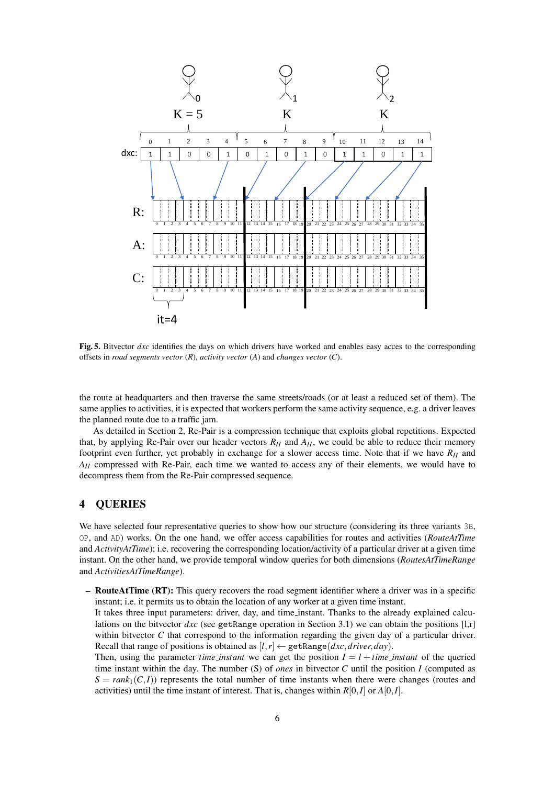

Fig. 5. Bitvector *dxc* identifies the days on which drivers have worked and enables easy acces to the corresponding offsets in *road segments vector* (*R*), *activity vector* (*A*) and *changes vector* (*C*).

the route at headquarters and then traverse the same streets/roads (or at least a reduced set of them). The same applies to activities, it is expected that workers perform the same activity sequence, e.g. a driver leaves the planned route due to a traffic jam.

As detailed in Section 2, Re-Pair is a compression technique that exploits global repetitions. Expected that, by applying Re-Pair over our header vectors  $R_H$  and  $A_H$ , we could be able to reduce their memory footprint even further, yet probably in exchange for a slower access time. Note that if we have *R<sup>H</sup>* and *A<sup>H</sup>* compressed with Re-Pair, each time we wanted to access any of their elements, we would have to decompress them from the Re-Pair compressed sequence.

# 4 QUERIES

We have selected four representative queries to show how our structure (considering its three variants 3B, OP, and AD) works. On the one hand, we offer access capabilities for routes and activities (*RouteAtTime* and *ActivityAtTime*); i.e. recovering the corresponding location/activity of a particular driver at a given time instant. On the other hand, we provide temporal window queries for both dimensions (*RoutesAtTimeRange* and *ActivitiesAtTimeRange*).

– RouteAtTime (RT): This query recovers the road segment identifier where a driver was in a specific instant; i.e. it permits us to obtain the location of any worker at a given time instant.

It takes three input parameters: driver, day, and time instant. Thanks to the already explained calculations on the bitvector  $dx$  (see getRange operation in Section 3.1) we can obtain the positions  $[1,r]$ within bitvector *C* that correspond to the information regarding the given day of a particular driver. Recall that range of positions is obtained as  $[l, r] \leftarrow$  getRange(*dxc*, *driver*, *day*).

Then, using the parameter *time instant* we can get the position  $I = l + time$  *instant* of the queried time instant within the day. The number (S) of *ones* in bitvector *C* until the position *I* (computed as  $S = rank_1(C,I)$ ) represents the total number of time instants when there were changes (routes and activities) until the time instant of interest. That is, changes within *R*[0,*I*] or *A*[0,*I*].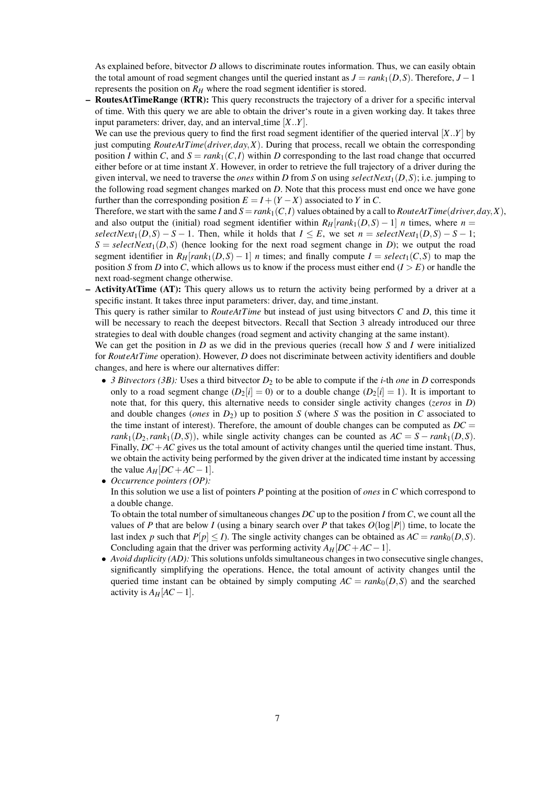As explained before, bitvector *D* allows to discriminate routes information. Thus, we can easily obtain the total amount of road segment changes until the queried instant as  $J = rank_1(D, S)$ . Therefore,  $J - 1$ represents the position on  $R$ <sup> $H$ </sup> where the road segment identifier is stored.

– RoutesAtTimeRange (RTR): This query reconstructs the trajectory of a driver for a specific interval of time. With this query we are able to obtain the driver's route in a given working day. It takes three input parameters: driver, day, and an interval time  $[X..Y]$ .

We can use the previous query to find the first road segment identifier of the queried interval [*X*..*Y*] by just computing *RouteAtTime*(*driver*,*day*,*X*). During that process, recall we obtain the corresponding position *I* within *C*, and  $S = rank_1(C, I)$  within *D* corresponding to the last road change that occurred either before or at time instant *X*. However, in order to retrieve the full trajectory of a driver during the given interval, we need to traverse the *ones* within *D* from *S* on using *selectNext*1(*D*,*S*); i.e. jumping to the following road segment changes marked on *D*. Note that this process must end once we have gone further than the corresponding position  $E = I + (Y - X)$  associated to *Y* in *C*.

Therefore, we start with the same *I* and  $S = rank_1(C, I)$  values obtained by a call to *RouteAtTime*(*driver, day, X*), and also output the (initial) road segment identifier within  $R<sub>H</sub>[rank<sub>1</sub>(D,S) - 1]$  *n* times, where  $n =$  $selectNext_1(D,S) - S - 1$ . Then, while it holds that  $I \leq E$ , we set  $n = selectNext_1(D,S) - S - 1$ ;  $S = selectNext_1(D, S)$  (hence looking for the next road segment change in *D*); we output the road segment identifier in  $R_H[rank_1(D,S) - 1]$  *n* times; and finally compute  $I = select_1(C,S)$  to map the position *S* from *D* into *C*, which allows us to know if the process must either end  $(I > E)$  or handle the next road-segment change otherwise.

– ActivityAtTime (AT): This query allows us to return the activity being performed by a driver at a specific instant. It takes three input parameters: driver, day, and time instant.

This query is rather similar to *RouteAtTime* but instead of just using bitvectors *C* and *D*, this time it will be necessary to reach the deepest bitvectors. Recall that Section 3 already introduced our three strategies to deal with double changes (road segment and activity changing at the same instant).

We can get the position in *D* as we did in the previous queries (recall how *S* and *I* were initialized for *RouteAtTime* operation). However, *D* does not discriminate between activity identifiers and double changes, and here is where our alternatives differ:

- *3 Bitvectors (3B):* Uses a third bitvector  $D_2$  to be able to compute if the *i*-th *one* in *D* corresponds only to a road segment change  $(D_2[i] = 0)$  or to a double change  $(D_2[i] = 1)$ . It is important to note that, for this query, this alternative needs to consider single activity changes (*zeros* in *D*) and double changes (*ones* in  $D_2$ ) up to position *S* (where *S* was the position in *C* associated to the time instant of interest). Therefore, the amount of double changes can be computed as  $DC =$ *rank*<sub>1</sub>(*D*<sub>2</sub>,*rank*<sub>1</sub>(*D*,*S*)), while single activity changes can be counted as  $AC = S - rank_1(D, S)$ . Finally, *DC*+*AC* gives us the total amount of activity changes until the queried time instant. Thus, we obtain the activity being performed by the given driver at the indicated time instant by accessing the value  $A_H[DC+AC-1]$ .
- *Occurrence pointers (OP):*

In this solution we use a list of pointers *P* pointing at the position of *ones* in *C* which correspond to a double change.

To obtain the total number of simultaneous changes *DC* up to the position *I* from *C*, we count all the values of *P* that are below *I* (using a binary search over *P* that takes  $O(\log |P|)$  time, to locate the last index *p* such that  $P[p] \leq I$ ). The single activity changes can be obtained as  $AC = rank_0(D, S)$ . Concluding again that the driver was performing activity  $A_H[DC + AC - 1]$ .

• *Avoid duplicity (AD):* This solutions unfolds simultaneous changes in two consecutive single changes, significantly simplifying the operations. Hence, the total amount of activity changes until the queried time instant can be obtained by simply computing  $AC = rank_0(D, S)$  and the searched activity is  $A_H[AC - 1]$ .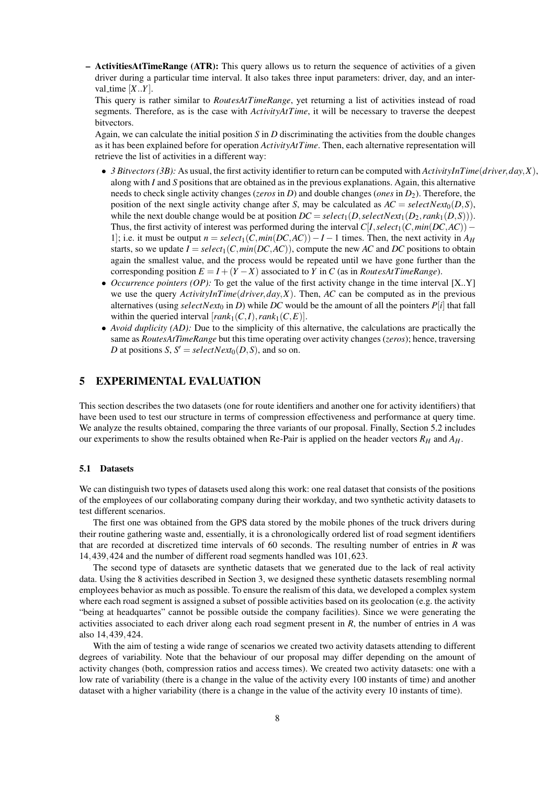– ActivitiesAtTimeRange (ATR): This query allows us to return the sequence of activities of a given driver during a particular time interval. It also takes three input parameters: driver, day, and an interval\_time  $[X..Y]$ .

This query is rather similar to *RoutesAtTimeRange*, yet returning a list of activities instead of road segments. Therefore, as is the case with *ActivityAtTime*, it will be necessary to traverse the deepest bitvectors.

Again, we can calculate the initial position *S* in *D* discriminating the activities from the double changes as it has been explained before for operation *ActivityAtTime*. Then, each alternative representation will retrieve the list of activities in a different way:

- *3 Bitvectors (3B):* As usual, the first activity identifier to return can be computed with *ActivityInTime*(*driver*,*day*,*X*), along with *I* and *S* positions that are obtained as in the previous explanations. Again, this alternative needs to check single activity changes (*zeros* in *D*) and double changes (*ones* in *D*2). Therefore, the position of the next single activity change after *S*, may be calculated as  $AC = selectNext_0(D, S)$ , while the next double change would be at position  $DC = select_1(D, selectNext_1(D_2, rank_1(D_3)))$ . Thus, the first activity of interest was performed during the interval  $C[I, select_1(C, min(DC, AC))$  − 1]; i.e. it must be output  $n = select_1(C, min(DC, AC)) - I - 1$  times. Then, the next activity in  $A_H$ starts, so we update  $I = select_1(C, min(DC, AC))$ , compute the new *AC* and *DC* positions to obtain again the smallest value, and the process would be repeated until we have gone further than the corresponding position  $E = I + (Y - X)$  associated to *Y* in *C* (as in *RoutesAtTimeRange*).
- *Occurrence pointers (OP):* To get the value of the first activity change in the time interval [X..Y] we use the query *ActivityInTime*(*driver*,*day*,*X*). Then, *AC* can be computed as in the previous alternatives (using *selectNext*<sub>0</sub> in *D*) while *DC* would be the amount of all the pointers  $P[i]$  that fall within the queried interval  $[rank_1(C,I),rank_1(C,E)].$
- *Avoid duplicity (AD):* Due to the simplicity of this alternative, the calculations are practically the same as *RoutesAtTimeRange* but this time operating over activity changes (*zeros*); hence, traversing *D* at positions *S*,  $S' = selectNext_0(D, S)$ , and so on.

### 5 EXPERIMENTAL EVALUATION

This section describes the two datasets (one for route identifiers and another one for activity identifiers) that have been used to test our structure in terms of compression effectiveness and performance at query time. We analyze the results obtained, comparing the three variants of our proposal. Finally, Section 5.2 includes our experiments to show the results obtained when Re-Pair is applied on the header vectors  $R_H$  and  $A_H$ .

### 5.1 Datasets

We can distinguish two types of datasets used along this work: one real dataset that consists of the positions of the employees of our collaborating company during their workday, and two synthetic activity datasets to test different scenarios.

The first one was obtained from the GPS data stored by the mobile phones of the truck drivers during their routine gathering waste and, essentially, it is a chronologically ordered list of road segment identifiers that are recorded at discretized time intervals of 60 seconds. The resulting number of entries in *R* was 14,439,424 and the number of different road segments handled was 101,623.

The second type of datasets are synthetic datasets that we generated due to the lack of real activity data. Using the 8 activities described in Section 3, we designed these synthetic datasets resembling normal employees behavior as much as possible. To ensure the realism of this data, we developed a complex system where each road segment is assigned a subset of possible activities based on its geolocation (e.g. the activity "being at headquartes" cannot be possible outside the company facilities). Since we were generating the activities associated to each driver along each road segment present in *R*, the number of entries in *A* was also 14,439,424.

With the aim of testing a wide range of scenarios we created two activity datasets attending to different degrees of variability. Note that the behaviour of our proposal may differ depending on the amount of activity changes (both, compression ratios and access times). We created two activity datasets: one with a low rate of variability (there is a change in the value of the activity every 100 instants of time) and another dataset with a higher variability (there is a change in the value of the activity every 10 instants of time).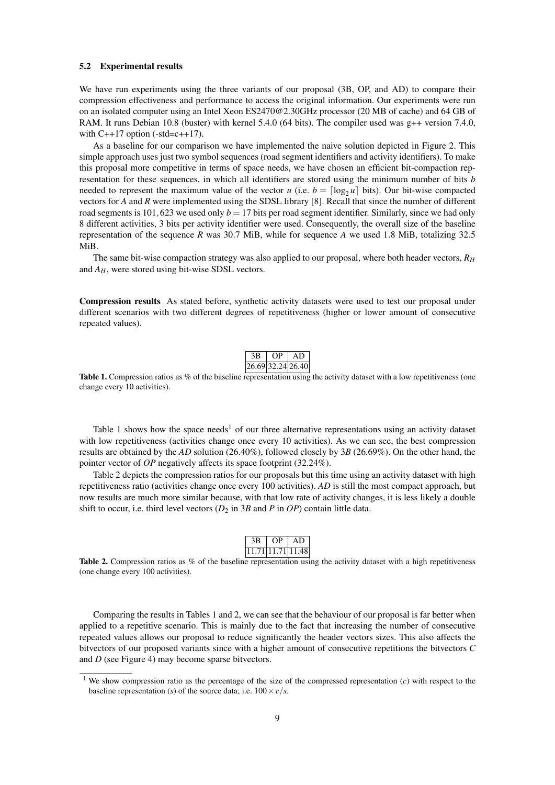#### 5.2 Experimental results

We have run experiments using the three variants of our proposal (3B, OP, and AD) to compare their compression effectiveness and performance to access the original information. Our experiments were run on an isolated computer using an Intel Xeon ES2470@2.30GHz processor (20 MB of cache) and 64 GB of RAM. It runs Debian 10.8 (buster) with kernel 5.4.0 (64 bits). The compiler used was g++ version 7.4.0, with  $C++17$  option (-std=c++17).

As a baseline for our comparison we have implemented the naive solution depicted in Figure 2. This simple approach uses just two symbol sequences (road segment identifiers and activity identifiers). To make this proposal more competitive in terms of space needs, we have chosen an efficient bit-compaction representation for these sequences, in which all identifiers are stored using the minimum number of bits *b* needed to represent the maximum value of the vector *u* (i.e.  $b = \lceil \log_2 u \rceil$  bits). Our bit-wise compacted vectors for *A* and *R* were implemented using the SDSL library [8]. Recall that since the number of different road segments is 101,623 we used only  $b = 17$  bits per road segment identifier. Similarly, since we had only 8 different activities, 3 bits per activity identifier were used. Consequently, the overall size of the baseline representation of the sequence *R* was 30.7 MiB, while for sequence *A* we used 1.8 MiB, totalizing 32.5 MiB.

The same bit-wise compaction strategy was also applied to our proposal, where both header vectors, *R<sup>H</sup>* and *AH*, were stored using bit-wise SDSL vectors.

Compression results As stated before, synthetic activity datasets were used to test our proposal under different scenarios with two different degrees of repetitiveness (higher or lower amount of consecutive repeated values).

| ЗB                                                | OP | AD |
|---------------------------------------------------|----|----|
| $\left  26.69 \right  32.24 \left  26.40 \right $ |    |    |

**Table 1.** Compression ratios as  $\%$  of the baseline representation using the activity dataset with a low repetitiveness (one change every 10 activities).

Table 1 shows how the space needs<sup>1</sup> of our three alternative representations using an activity dataset with low repetitiveness (activities change once every 10 activities). As we can see, the best compression results are obtained by the *AD* solution (26.40%), followed closely by 3*B* (26.69%). On the other hand, the pointer vector of *OP* negatively affects its space footprint (32.24%).

Table 2 depicts the compression ratios for our proposals but this time using an activity dataset with high repetitiveness ratio (activities change once every 100 activities). *AD* is still the most compact approach, but now results are much more similar because, with that low rate of activity changes, it is less likely a double shift to occur, i.e. third level vectors  $(D_2 \text{ in } 3B \text{ and } P \text{ in } OP)$  contain little data.

|  | .71 11.71 11.48 |
|--|-----------------|

Table 2. Compression ratios as % of the baseline representation using the activity dataset with a high repetitiveness (one change every 100 activities).

Comparing the results in Tables 1 and 2, we can see that the behaviour of our proposal is far better when applied to a repetitive scenario. This is mainly due to the fact that increasing the number of consecutive repeated values allows our proposal to reduce significantly the header vectors sizes. This also affects the bitvectors of our proposed variants since with a higher amount of consecutive repetitions the bitvectors *C* and *D* (see Figure 4) may become sparse bitvectors.

<sup>&</sup>lt;sup>1</sup> We show compression ratio as the percentage of the size of the compressed representation  $(c)$  with respect to the baseline representation (*s*) of the source data; i.e.  $100 \times c/s$ .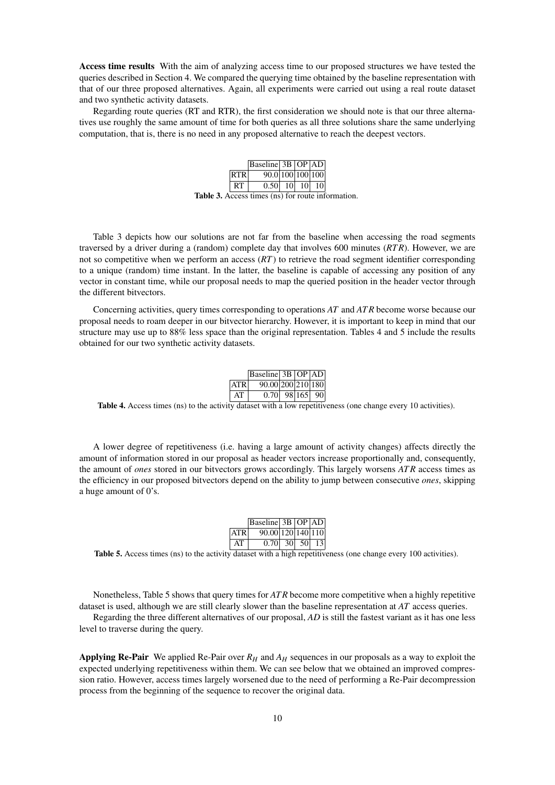Access time results With the aim of analyzing access time to our proposed structures we have tested the queries described in Section 4. We compared the querying time obtained by the baseline representation with that of our three proposed alternatives. Again, all experiments were carried out using a real route dataset and two synthetic activity datasets.

Regarding route queries (RT and RTR), the first consideration we should note is that our three alternatives use roughly the same amount of time for both queries as all three solutions share the same underlying computation, that is, there is no need in any proposed alternative to reach the deepest vectors.

|                                                          |     | Baseline 3B   OP   AD |                 |  |
|----------------------------------------------------------|-----|-----------------------|-----------------|--|
|                                                          | RTR | 90.0 100 100 100      |                 |  |
|                                                          | RT. | 0.50 10               | 10 <sup>1</sup> |  |
| <b>Table 3.</b> Access times (ns) for route information. |     |                       |                 |  |

Table 3 depicts how our solutions are not far from the baseline when accessing the road segments traversed by a driver during a (random) complete day that involves 600 minutes (*RT R*). However, we are not so competitive when we perform an access (*RT*) to retrieve the road segment identifier corresponding to a unique (random) time instant. In the latter, the baseline is capable of accessing any position of any vector in constant time, while our proposal needs to map the queried position in the header vector through the different bitvectors.

Concerning activities, query times corresponding to operations *AT* and *AT R* become worse because our proposal needs to roam deeper in our bitvector hierarchy. However, it is important to keep in mind that our structure may use up to 88% less space than the original representation. Tables 4 and 5 include the results obtained for our two synthetic activity datasets.

|            | $\vert$ Baseline $\vert$ 3B $\vert$ OP $\vert$ AD $\vert$ |  |     |
|------------|-----------------------------------------------------------|--|-----|
| <b>ATR</b> | 90.00 200 210 180                                         |  |     |
| ΑT         | $0.70$   98 165                                           |  | 901 |

Table 4. Access times (ns) to the activity dataset with a low repetitiveness (one change every 10 activities).

A lower degree of repetitiveness (i.e. having a large amount of activity changes) affects directly the amount of information stored in our proposal as header vectors increase proportionally and, consequently, the amount of *ones* stored in our bitvectors grows accordingly. This largely worsens *AT R* access times as the efficiency in our proposed bitvectors depend on the ability to jump between consecutive *ones*, skipping a huge amount of 0's.

|            | $\vert$ Baseline $\vert$ 3B $\vert$ OP $\vert$ AD $\vert$ |  |                   |
|------------|-----------------------------------------------------------|--|-------------------|
| <b>ATR</b> | 90.00 120 140 110                                         |  |                   |
| AТ         | $0.70$   30  50                                           |  | -13 <sup>-1</sup> |

Table 5. Access times (ns) to the activity dataset with a high repetitiveness (one change every 100 activities).

Nonetheless, Table 5 shows that query times for *AT R* become more competitive when a highly repetitive dataset is used, although we are still clearly slower than the baseline representation at *AT* access queries.

Regarding the three different alternatives of our proposal, *AD* is still the fastest variant as it has one less level to traverse during the query.

Applying Re-Pair We applied Re-Pair over *R<sup>H</sup>* and *A<sup>H</sup>* sequences in our proposals as a way to exploit the expected underlying repetitiveness within them. We can see below that we obtained an improved compression ratio. However, access times largely worsened due to the need of performing a Re-Pair decompression process from the beginning of the sequence to recover the original data.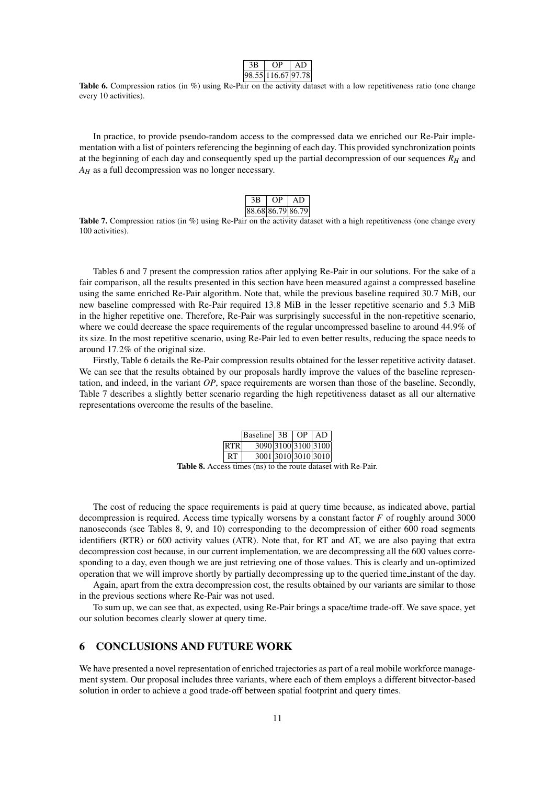|  | 8.55 116.67 97.78 |  |
|--|-------------------|--|

Table 6. Compression ratios (in %) using Re-Pair on the activity dataset with a low repetitiveness ratio (one change every 10 activities).

In practice, to provide pseudo-random access to the compressed data we enriched our Re-Pair implementation with a list of pointers referencing the beginning of each day. This provided synchronization points at the beginning of each day and consequently sped up the partial decompression of our sequences  $R_H$  and  $A_H$  as a full decompression was no longer necessary.

| 3B. | OP. | AD                |  |
|-----|-----|-------------------|--|
|     |     | 88.68 86.79 86.79 |  |

**Table 7.** Compression ratios (in  $\%$ ) using Re-Pair on the activity dataset with a high repetitiveness (one change every 100 activities).

Tables 6 and 7 present the compression ratios after applying Re-Pair in our solutions. For the sake of a fair comparison, all the results presented in this section have been measured against a compressed baseline using the same enriched Re-Pair algorithm. Note that, while the previous baseline required 30.7 MiB, our new baseline compressed with Re-Pair required 13.8 MiB in the lesser repetitive scenario and 5.3 MiB in the higher repetitive one. Therefore, Re-Pair was surprisingly successful in the non-repetitive scenario, where we could decrease the space requirements of the regular uncompressed baseline to around 44.9% of its size. In the most repetitive scenario, using Re-Pair led to even better results, reducing the space needs to around 17.2% of the original size.

Firstly, Table 6 details the Re-Pair compression results obtained for the lesser repetitive activity dataset. We can see that the results obtained by our proposals hardly improve the values of the baseline representation, and indeed, in the variant *OP*, space requirements are worsen than those of the baseline. Secondly, Table 7 describes a slightly better scenario regarding the high repetitiveness dataset as all our alternative representations overcome the results of the baseline.

|                                                                      |           | $\vert$ Baseline $\vert$ 3B $\vert$ OP $\vert$ AD |  |  |
|----------------------------------------------------------------------|-----------|---------------------------------------------------|--|--|
|                                                                      | RTR I     | 3090 3100 3100 3100                               |  |  |
|                                                                      | <b>RT</b> | 3001 3010 3010 3010                               |  |  |
| <b>Table 8.</b> Access times (ns) to the route dataset with Re-Pair. |           |                                                   |  |  |

The cost of reducing the space requirements is paid at query time because, as indicated above, partial decompression is required. Access time typically worsens by a constant factor *F* of roughly around 3000 nanoseconds (see Tables 8, 9, and 10) corresponding to the decompression of either 600 road segments identifiers (RTR) or 600 activity values (ATR). Note that, for RT and AT, we are also paying that extra decompression cost because, in our current implementation, we are decompressing all the 600 values corresponding to a day, even though we are just retrieving one of those values. This is clearly and un-optimized operation that we will improve shortly by partially decompressing up to the queried time instant of the day.

Again, apart from the extra decompression cost, the results obtained by our variants are similar to those in the previous sections where Re-Pair was not used.

To sum up, we can see that, as expected, using Re-Pair brings a space/time trade-off. We save space, yet our solution becomes clearly slower at query time.

# 6 CONCLUSIONS AND FUTURE WORK

We have presented a novel representation of enriched trajectories as part of a real mobile workforce management system. Our proposal includes three variants, where each of them employs a different bitvector-based solution in order to achieve a good trade-off between spatial footprint and query times.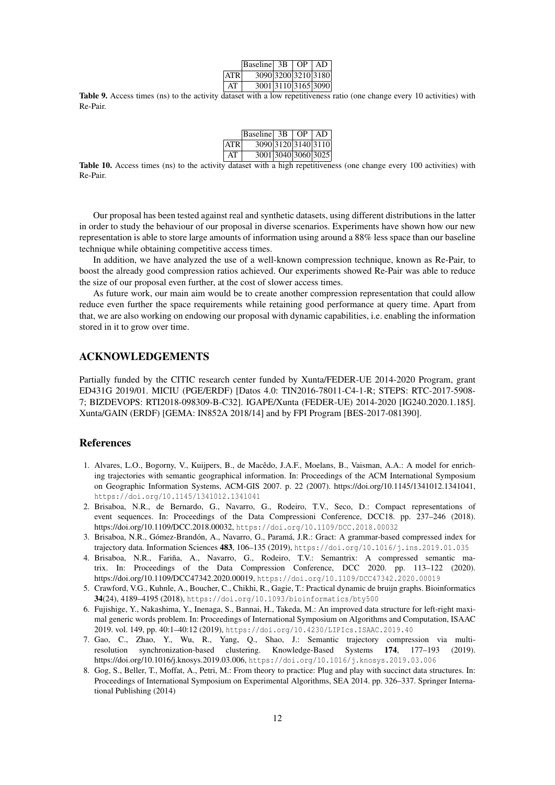|       | $\vert$ Baseline $\vert$ 3B $\vert$ OP $\vert$ AD |  |                     |
|-------|---------------------------------------------------|--|---------------------|
| ATR I |                                                   |  | 3090 3200 3210 3180 |
| AT.   |                                                   |  | 3001 3110 3165 3090 |

Table 9. Access times (ns) to the activity dataset with a low repetitiveness ratio (one change every 10 activities) with Re-Pair.

|      | $\vert$ Baseline $\vert$ 3B $\vert$ OP $\vert$ AD |  |                     |
|------|---------------------------------------------------|--|---------------------|
| ATRI |                                                   |  | 3090 3120 3140 3110 |
| AT   |                                                   |  | 3001 3040 3060 3025 |

Table 10. Access times (ns) to the activity dataset with a high repetitiveness (one change every 100 activities) with Re-Pair.

Our proposal has been tested against real and synthetic datasets, using different distributions in the latter in order to study the behaviour of our proposal in diverse scenarios. Experiments have shown how our new representation is able to store large amounts of information using around a 88% less space than our baseline technique while obtaining competitive access times.

In addition, we have analyzed the use of a well-known compression technique, known as Re-Pair, to boost the already good compression ratios achieved. Our experiments showed Re-Pair was able to reduce the size of our proposal even further, at the cost of slower access times.

As future work, our main aim would be to create another compression representation that could allow reduce even further the space requirements while retaining good performance at query time. Apart from that, we are also working on endowing our proposal with dynamic capabilities, i.e. enabling the information stored in it to grow over time.

# ACKNOWLEDGEMENTS

Partially funded by the CITIC research center funded by Xunta/FEDER-UE 2014-2020 Program, grant ED431G 2019/01. MICIU (PGE/ERDF) [Datos 4.0: TIN2016-78011-C4-1-R; STEPS: RTC-2017-5908- 7; BIZDEVOPS: RTI2018-098309-B-C32]. IGAPE/Xunta (FEDER-UE) 2014-2020 [IG240.2020.1.185]. Xunta/GAIN (ERDF) [GEMA: IN852A 2018/14] and by FPI Program [BES-2017-081390].

### References

- 1. Alvares, L.O., Bogorny, V., Kuijpers, B., de Macedo, J.A.F., Moelans, B., Vaisman, A.A.: A model for enrich- ˆ ing trajectories with semantic geographical information. In: Proceedings of the ACM International Symposium on Geographic Information Systems, ACM-GIS 2007. p. 22 (2007). https://doi.org/10.1145/1341012.1341041, https://doi.org/10.1145/1341012.1341041
- 2. Brisaboa, N.R., de Bernardo, G., Navarro, G., Rodeiro, T.V., Seco, D.: Compact representations of event sequences. In: Proceedings of the Data Compressioni Conference, DCC18. pp. 237–246 (2018). https://doi.org/10.1109/DCC.2018.00032, https://doi.org/10.1109/DCC.2018.00032
- 3. Brisaboa, N.R., Gómez-Brandón, A., Navarro, G., Paramá, J.R.: Gract: A grammar-based compressed index for trajectory data. Information Sciences 483, 106–135 (2019), https://doi.org/10.1016/j.ins.2019.01.035
- 4. Brisaboa, N.R., Fariña, A., Navarro, G., Rodeiro, T.V.: Semantrix: A compressed semantic matrix. In: Proceedings of the Data Compression Conference, DCC 2020. pp. 113–122 (2020). https://doi.org/10.1109/DCC47342.2020.00019, https://doi.org/10.1109/DCC47342.2020.00019
- 5. Crawford, V.G., Kuhnle, A., Boucher, C., Chikhi, R., Gagie, T.: Practical dynamic de bruijn graphs. Bioinformatics 34(24), 4189–4195 (2018), https://doi.org/10.1093/bioinformatics/bty500
- 6. Fujishige, Y., Nakashima, Y., Inenaga, S., Bannai, H., Takeda, M.: An improved data structure for left-right maximal generic words problem. In: Proceedings of International Symposium on Algorithms and Computation, ISAAC 2019. vol. 149, pp. 40:1–40:12 (2019), https://doi.org/10.4230/LIPIcs.ISAAC.2019.40
- 7. Gao, C., Zhao, Y., Wu, R., Yang, Q., Shao, J.: Semantic trajectory compression via multiresolution synchronization-based clustering. Knowledge-Based Systems 174, 177–193 (2019). https://doi.org/10.1016/j.knosys.2019.03.006, https://doi.org/10.1016/j.knosys.2019.03.006
- 8. Gog, S., Beller, T., Moffat, A., Petri, M.: From theory to practice: Plug and play with succinct data structures. In: Proceedings of International Symposium on Experimental Algorithms, SEA 2014. pp. 326–337. Springer International Publishing (2014)